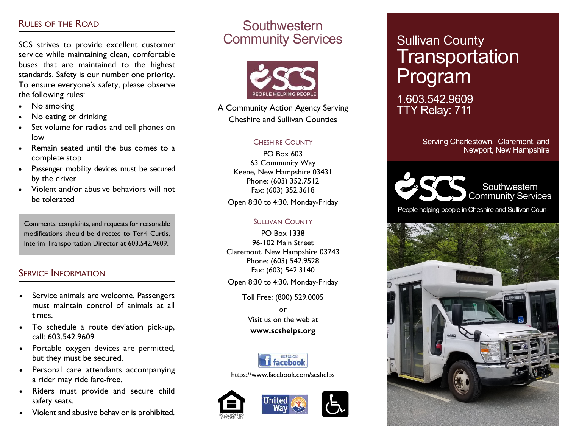### RULES OF THE ROAD

SCS strives to provide excellent customer service while maintaining clean, comfortable buses that are maintained to the highest standards. Safety is our number one priority. To ensure everyone's safety, please observe the following rules:

- No smoking
- No eating or drinking
- Set volume for radios and cell phones on low
- Remain seated until the bus comes to a complete stop
- Passenger mobility devices must be secured by the driver
- Violent and/or abusive behaviors will not be tolerated

Comments, complaints, and requests for reasonable modifications should be directed to Terri Curtis, Interim Transportation Director at 603.542.9609.

### SERVICE INFORMATION

- Service animals are welcome. Passengers must maintain control of animals at all times.
- To schedule a route deviation pick-up, call: 603.542.9609
- Portable oxygen devices are permitted, but they must be secured.
- Personal care attendants accompanying a rider may ride fare-free.
- Riders must provide and secure child safety seats.
- Violent and abusive behavior is prohibited.

# **Southwestern** Community Services



A Community Action Agency Serving Cheshire and Sullivan Counties

### CHESHIRE COUNTY

PO Box 603 63 Community Way Keene, New Hampshire 03431 Phone: (603) 352.7512 Fax: (603) 352.3618

Open 8:30 to 4:30, Monday-Friday

### SULLIVAN COUNTY

PO Box 1338 96-102 Main Street Claremont, New Hampshire 03743 Phone: (603) 542.9528 Fax: (603) 542.3140

Open 8:30 to 4:30, Monday-Friday

Toll Free: (800) 529.0005

or Visit us on the web at **www.scshelps.org**



https://www.facebook.com/scshelps



# Sullivan County Transportation Program

1.603.542.9609 TTY Relay: 711

> Serving Charlestown, Claremont, and Newport, New Hampshire



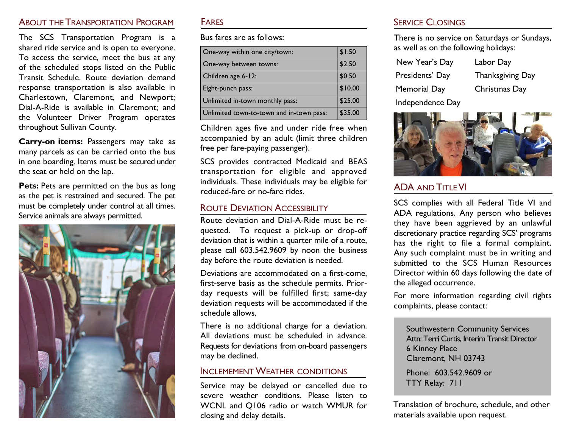# About the Transportation Program Fares

The SCS Transportation Program is a shared ride service and is open to everyone. To access the service, meet the bus at any of the scheduled stops listed on the Public Transit Schedule. Route deviation demand response transportation is also available in Charlestown, Claremont, and Newport; Dial-A-Ride is available in Claremont; and the Volunteer Driver Program operates throughout Sullivan County.

**Carry-on items:** Passengers may take as many parcels as can be carried onto the bus in one boarding. Items must be secured under the seat or held on the lap.

Pets: Pets are permitted on the bus as long as the pet is restrained and secured. The pet must be completely under control at all times. Service animals are always permitted.



Bus fares are as follows:

| One-way within one city/town:            | \$1.50  |
|------------------------------------------|---------|
| One-way between towns:                   | \$2.50  |
| Children age 6-12:                       | \$0.50  |
| Eight-punch pass:                        | \$10.00 |
| Unlimited in-town monthly pass:          | \$25.00 |
| Unlimited town-to-town and in-town pass: | \$35.00 |

Children ages five and under ride free when accompanied by an adult (limit three children free per fare-paying passenger).

SCS provides contracted Medicaid and BEAS transportation for eligible and approved individuals. These individuals may be eligible for reduced-fare or no-fare rides.

### ROUTE DEVIATION ACCESSIBILITY

Route deviation and Dial-A-Ride must be requested. To request a pick-up or drop-off deviation that is within a quarter mile of a route, please call 603.542.9609 by noon the business day before the route deviation is needed.

Deviations are accommodated on a first-come, first-serve basis as the schedule permits. Priorday requests will be fulfilled first; same-day deviation requests will be accommodated if the schedule allows.

There is no additional charge for a deviation. All deviations must be scheduled in advance. Requests for deviations from on-board passengers may be declined.

### INCLEMEMENT WEATHER CONDITIONS

Service may be delayed or cancelled due to severe weather conditions. Please listen to WCNL and Q106 radio or watch WMUR for closing and delay details.

### SERVICE CLOSINGS

There is no service on Saturdays or Sundays, as well as on the following holidays:

| New Year's Day      | Labor Day        |
|---------------------|------------------|
| Presidents' Day     | Thanksgiving Day |
| <b>Memorial Day</b> | Christmas Day    |
| Independence Day    |                  |



## ADA AND TITLE VI

SCS complies with all Federal Title VI and ADA regulations. Any person who believes they have been aggrieved by an unlawful discretionary practice regarding SCS' programs has the right to file a formal complaint. Any such complaint must be in writing and submitted to the SCS Human Resources Director within 60 days following the date of the alleged occurrence.

For more information regarding civil rights complaints, please contact:

Southwestern Community Services Attn: Terri Curtis, Interim Transit Director 6 Kinney Place Claremont, NH 03743

Phone: 603.542.9609 or TTY Relay: 711

Translation of brochure, schedule, and other materials available upon request.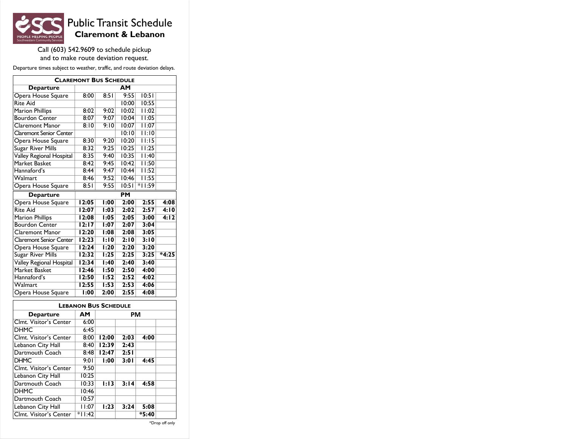

# Public Transit Schedule **Claremont & Lebanon**

Call (603) 542.9609 to schedule pickup and to make route deviation request.

Departure times subject to weather, traffic, and route deviation delays.

| <b>CLAREMONT BUS SCHEDULE</b>  |                    |             |           |          |         |
|--------------------------------|--------------------|-------------|-----------|----------|---------|
| <b>Departure</b>               |                    |             | AΜ        |          |         |
| Opera House Square             | 8:00               | 8:51        | 9:55      | 10:51    |         |
| <b>Rite Aid</b>                |                    |             | 10:00     | 10:55    |         |
| <b>Marion Phillips</b>         | 8:02               | 9:02        | 10:02     | 11:02    |         |
| <b>Bourdon Center</b>          | 8:07               | 9:07        | 10:04     | 11:05    |         |
| Claremont Manor                | 8:10               | 9:10        | 10:07     | 11:07    |         |
| <b>Claremont Senior Center</b> |                    |             | 10:10     | 11:10    |         |
| Opera House Square             | 8:30               | 9:20        | 10:20     | 11:15    |         |
| Sugar River Mills              | 8:32               | 9:25        | 10:25     | 11:25    |         |
| Valley Regional Hospital       | 8:35               | 9:40        | 10:35     | 11:40    |         |
| Market Basket                  | 8:42               | 9:45        | 10:42     | 11:50    |         |
| Hannaford's                    | 8:44               | 9:47        | 10:44     | 11:52    |         |
| Walmart                        | 8:46               | 9:52        | 10:46     | 11:55    |         |
| Opera House Square             | 8:51               | 9:55        | 10:51     | $*11:59$ |         |
| <b>Departure</b>               |                    |             | <b>PM</b> |          |         |
| Opera House Square             | 12:05              | 1:00        | 2:00      | 2:55     | 4:08    |
| <b>Rite Aid</b>                | 12:07              | 1:03        | 2:02      | 2:57     | 4:10    |
| Marion Phillips                | 12:08              | 1:05        | 2:05      | 3:00     | 4:12    |
| <b>Bourdon Center</b>          | 12:17              | 1:07        | 2:07      | 3:04     |         |
| Claremont Manor                | 12:20              | 1:08        | 2:08      | 3:05     |         |
| <b>Claremont Senior Center</b> | 12:23              | 1:10        | 2:10      | 3:10     |         |
| Opera House Square             | 12:24              | 1:20        | 2:20      | 3:20     |         |
| <b>Sugar River Mills</b>       | 12:32              | 1:25        | 2:25      | 3:25     | $*4:25$ |
| Valley Regional Hospital       | 12:34              | 1:40        | 2:40      | 3:40     |         |
| <b>Market Basket</b>           | 12:46              | 1:50        | 2:50      | 4:00     |         |
| Hannaford's                    | $\overline{12:}50$ | <b>I:52</b> | 2:52      | 4:02     |         |
| Walmart                        | 12:55              | 1:53        | 2:53      | 4:06     |         |
| Opera House Square             | 1:00               | 2:00        | 2:55      | 4:08     |         |

| <b>LEBANON BUS SCHEDULE</b> |          |           |      |         |  |
|-----------------------------|----------|-----------|------|---------|--|
| <b>Departure</b>            | AΜ       | <b>PM</b> |      |         |  |
| Clmt. Visitor's Center      | 6:00     |           |      |         |  |
| <b>DHMC</b>                 | 6:45     |           |      |         |  |
| Clmt. Visitor's Center      | 8:00     | 12:00     | 2:03 | 4:00    |  |
| Lebanon City Hall           | 8:40     | 12:39     | 2:43 |         |  |
| Dartmouth Coach             | 8:48     | 12:47     | 2:51 |         |  |
| <b>DHMC</b>                 | 9:01     | 1:00      | 3:01 | 4:45    |  |
| Clmt. Visitor's Center      | 9:50     |           |      |         |  |
| Lebanon City Hall           | 10:25    |           |      |         |  |
| Dartmouth Coach             | 10:33    | 1:13      | 3:14 | 4:58    |  |
| <b>DHMC</b>                 | 10:46    |           |      |         |  |
| Dartmouth Coach             | 10:57    |           |      |         |  |
| Lebanon City Hall           | 11:07    | 1:23      | 3:24 | 5:08    |  |
| Clmt. Visitor's Center      | $*11:42$ |           |      | $*5:40$ |  |

\*Drop off only